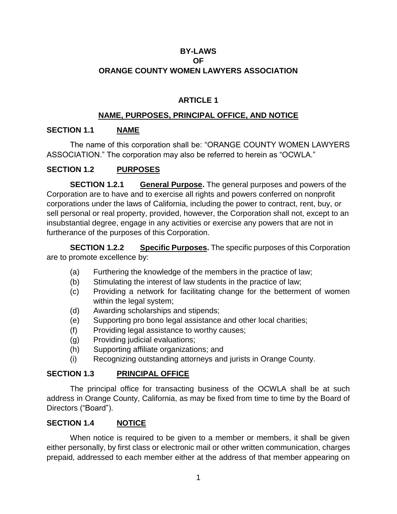## **BY-LAWS OF ORANGE COUNTY WOMEN LAWYERS ASSOCIATION**

# **ARTICLE 1**

## **NAME, PURPOSES, PRINCIPAL OFFICE, AND NOTICE**

## **SECTION 1.1 NAME**

The name of this corporation shall be: "ORANGE COUNTY WOMEN LAWYERS ASSOCIATION." The corporation may also be referred to herein as "OCWLA."

### **SECTION 1.2 PURPOSES**

**SECTION 1.2.1 General Purpose.** The general purposes and powers of the Corporation are to have and to exercise all rights and powers conferred on nonprofit corporations under the laws of California, including the power to contract, rent, buy, or sell personal or real property, provided, however, the Corporation shall not, except to an insubstantial degree, engage in any activities or exercise any powers that are not in furtherance of the purposes of this Corporation.

**SECTION 1.2.2** Specific Purposes. The specific purposes of this Corporation are to promote excellence by:

- (a) Furthering the knowledge of the members in the practice of law;
- (b) Stimulating the interest of law students in the practice of law;
- (c) Providing a network for facilitating change for the betterment of women within the legal system;
- (d) Awarding scholarships and stipends;
- (e) Supporting pro bono legal assistance and other local charities;
- (f) Providing legal assistance to worthy causes;
- (g) Providing judicial evaluations;
- (h) Supporting affiliate organizations; and
- (i) Recognizing outstanding attorneys and jurists in Orange County.

## **SECTION 1.3 PRINCIPAL OFFICE**

The principal office for transacting business of the OCWLA shall be at such address in Orange County, California, as may be fixed from time to time by the Board of Directors ("Board").

#### **SECTION 1.4 NOTICE**

When notice is required to be given to a member or members, it shall be given either personally, by first class or electronic mail or other written communication, charges prepaid, addressed to each member either at the address of that member appearing on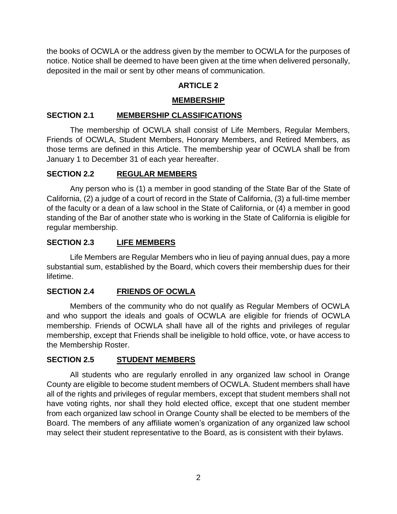the books of OCWLA or the address given by the member to OCWLA for the purposes of notice. Notice shall be deemed to have been given at the time when delivered personally, deposited in the mail or sent by other means of communication.

# **ARTICLE 2**

## **MEMBERSHIP**

## **SECTION 2.1 MEMBERSHIP CLASSIFICATIONS**

The membership of OCWLA shall consist of Life Members, Regular Members, Friends of OCWLA, Student Members, Honorary Members, and Retired Members, as those terms are defined in this Article. The membership year of OCWLA shall be from January 1 to December 31 of each year hereafter.

# **SECTION 2.2 REGULAR MEMBERS**

Any person who is (1) a member in good standing of the State Bar of the State of California, (2) a judge of a court of record in the State of California, (3) a full-time member of the faculty or a dean of a law school in the State of California, or (4) a member in good standing of the Bar of another state who is working in the State of California is eligible for regular membership.

# **SECTION 2.3 LIFE MEMBERS**

Life Members are Regular Members who in lieu of paying annual dues, pay a more substantial sum, established by the Board, which covers their membership dues for their lifetime.

# **SECTION 2.4 FRIENDS OF OCWLA**

Members of the community who do not qualify as Regular Members of OCWLA and who support the ideals and goals of OCWLA are eligible for friends of OCWLA membership. Friends of OCWLA shall have all of the rights and privileges of regular membership, except that Friends shall be ineligible to hold office, vote, or have access to the Membership Roster.

# **SECTION 2.5 STUDENT MEMBERS**

All students who are regularly enrolled in any organized law school in Orange County are eligible to become student members of OCWLA. Student members shall have all of the rights and privileges of regular members, except that student members shall not have voting rights, nor shall they hold elected office, except that one student member from each organized law school in Orange County shall be elected to be members of the Board. The members of any affiliate women's organization of any organized law school may select their student representative to the Board, as is consistent with their bylaws.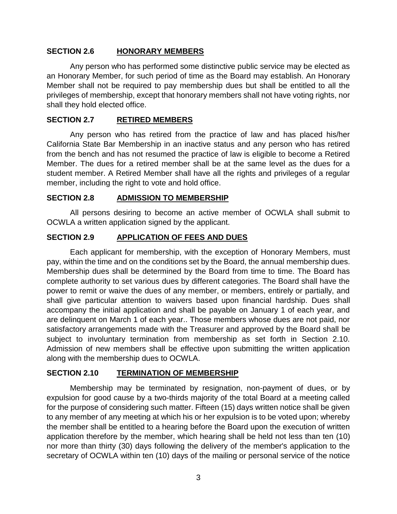### **SECTION 2.6 HONORARY MEMBERS**

Any person who has performed some distinctive public service may be elected as an Honorary Member, for such period of time as the Board may establish. An Honorary Member shall not be required to pay membership dues but shall be entitled to all the privileges of membership, except that honorary members shall not have voting rights, nor shall they hold elected office.

#### **SECTION 2.7 RETIRED MEMBERS**

Any person who has retired from the practice of law and has placed his/her California State Bar Membership in an inactive status and any person who has retired from the bench and has not resumed the practice of law is eligible to become a Retired Member. The dues for a retired member shall be at the same level as the dues for a student member. A Retired Member shall have all the rights and privileges of a regular member, including the right to vote and hold office.

### **SECTION 2.8 ADMISSION TO MEMBERSHIP**

All persons desiring to become an active member of OCWLA shall submit to OCWLA a written application signed by the applicant.

### **SECTION 2.9 APPLICATION OF FEES AND DUES**

Each applicant for membership, with the exception of Honorary Members, must pay, within the time and on the conditions set by the Board, the annual membership dues. Membership dues shall be determined by the Board from time to time. The Board has complete authority to set various dues by different categories. The Board shall have the power to remit or waive the dues of any member, or members, entirely or partially, and shall give particular attention to waivers based upon financial hardship. Dues shall accompany the initial application and shall be payable on January 1 of each year, and are delinquent on March 1 of each year.. Those members whose dues are not paid, nor satisfactory arrangements made with the Treasurer and approved by the Board shall be subject to involuntary termination from membership as set forth in Section 2.10. Admission of new members shall be effective upon submitting the written application along with the membership dues to OCWLA.

#### **SECTION 2.10 TERMINATION OF MEMBERSHIP**

Membership may be terminated by resignation, non-payment of dues, or by expulsion for good cause by a two-thirds majority of the total Board at a meeting called for the purpose of considering such matter. Fifteen (15) days written notice shall be given to any member of any meeting at which his or her expulsion is to be voted upon; whereby the member shall be entitled to a hearing before the Board upon the execution of written application therefore by the member, which hearing shall be held not less than ten (10) nor more than thirty (30) days following the delivery of the member's application to the secretary of OCWLA within ten (10) days of the mailing or personal service of the notice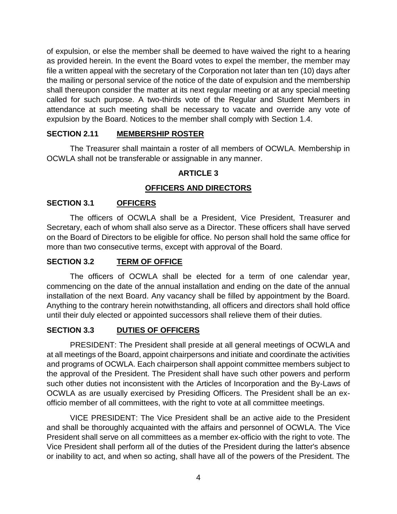of expulsion, or else the member shall be deemed to have waived the right to a hearing as provided herein. In the event the Board votes to expel the member, the member may file a written appeal with the secretary of the Corporation not later than ten (10) days after the mailing or personal service of the notice of the date of expulsion and the membership shall thereupon consider the matter at its next regular meeting or at any special meeting called for such purpose. A two-thirds vote of the Regular and Student Members in attendance at such meeting shall be necessary to vacate and override any vote of expulsion by the Board. Notices to the member shall comply with Section 1.4.

## **SECTION 2.11 MEMBERSHIP ROSTER**

The Treasurer shall maintain a roster of all members of OCWLA. Membership in OCWLA shall not be transferable or assignable in any manner.

### **ARTICLE 3**

### **OFFICERS AND DIRECTORS**

### **SECTION 3.1 OFFICERS**

The officers of OCWLA shall be a President, Vice President, Treasurer and Secretary, each of whom shall also serve as a Director. These officers shall have served on the Board of Directors to be eligible for office. No person shall hold the same office for more than two consecutive terms, except with approval of the Board.

#### **SECTION 3.2 TERM OF OFFICE**

The officers of OCWLA shall be elected for a term of one calendar year, commencing on the date of the annual installation and ending on the date of the annual installation of the next Board. Any vacancy shall be filled by appointment by the Board. Anything to the contrary herein notwithstanding, all officers and directors shall hold office until their duly elected or appointed successors shall relieve them of their duties.

#### **SECTION 3.3 DUTIES OF OFFICERS**

PRESIDENT: The President shall preside at all general meetings of OCWLA and at all meetings of the Board, appoint chairpersons and initiate and coordinate the activities and programs of OCWLA. Each chairperson shall appoint committee members subject to the approval of the President. The President shall have such other powers and perform such other duties not inconsistent with the Articles of Incorporation and the By-Laws of OCWLA as are usually exercised by Presiding Officers. The President shall be an exofficio member of all committees, with the right to vote at all committee meetings.

VICE PRESIDENT: The Vice President shall be an active aide to the President and shall be thoroughly acquainted with the affairs and personnel of OCWLA. The Vice President shall serve on all committees as a member ex-officio with the right to vote. The Vice President shall perform all of the duties of the President during the latter's absence or inability to act, and when so acting, shall have all of the powers of the President. The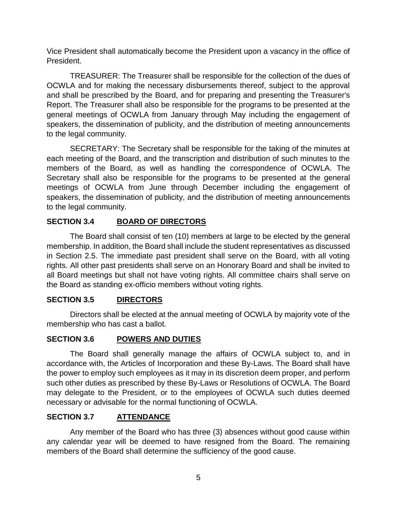Vice President shall automatically become the President upon a vacancy in the office of President.

TREASURER: The Treasurer shall be responsible for the collection of the dues of OCWLA and for making the necessary disbursements thereof, subject to the approval and shall be prescribed by the Board, and for preparing and presenting the Treasurer's Report. The Treasurer shall also be responsible for the programs to be presented at the general meetings of OCWLA from January through May including the engagement of speakers, the dissemination of publicity, and the distribution of meeting announcements to the legal community.

SECRETARY: The Secretary shall be responsible for the taking of the minutes at each meeting of the Board, and the transcription and distribution of such minutes to the members of the Board, as well as handling the correspondence of OCWLA. The Secretary shall also be responsible for the programs to be presented at the general meetings of OCWLA from June through December including the engagement of speakers, the dissemination of publicity, and the distribution of meeting announcements to the legal community.

# **SECTION 3.4 BOARD OF DIRECTORS**

The Board shall consist of ten (10) members at large to be elected by the general membership. In addition, the Board shall include the student representatives as discussed in Section 2.5. The immediate past president shall serve on the Board, with all voting rights. All other past presidents shall serve on an Honorary Board and shall be invited to all Board meetings but shall not have voting rights. All committee chairs shall serve on the Board as standing ex-officio members without voting rights.

## **SECTION 3.5 DIRECTORS**

Directors shall be elected at the annual meeting of OCWLA by majority vote of the membership who has cast a ballot.

## **SECTION 3.6 POWERS AND DUTIES**

The Board shall generally manage the affairs of OCWLA subject to, and in accordance with, the Articles of Incorporation and these By-Laws. The Board shall have the power to employ such employees as it may in its discretion deem proper, and perform such other duties as prescribed by these By-Laws or Resolutions of OCWLA. The Board may delegate to the President, or to the employees of OCWLA such duties deemed necessary or advisable for the normal functioning of OCWLA.

## **SECTION 3.7 ATTENDANCE**

Any member of the Board who has three (3) absences without good cause within any calendar year will be deemed to have resigned from the Board. The remaining members of the Board shall determine the sufficiency of the good cause.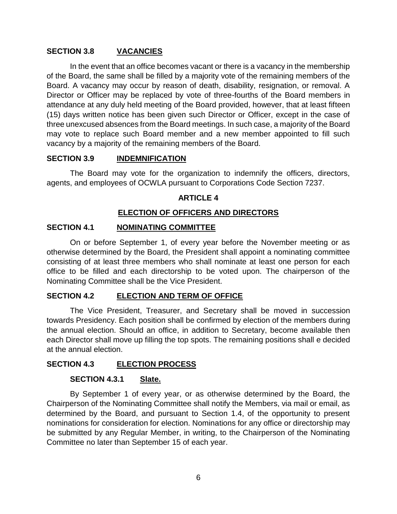### **SECTION 3.8 VACANCIES**

In the event that an office becomes vacant or there is a vacancy in the membership of the Board, the same shall be filled by a majority vote of the remaining members of the Board. A vacancy may occur by reason of death, disability, resignation, or removal. A Director or Officer may be replaced by vote of three-fourths of the Board members in attendance at any duly held meeting of the Board provided, however, that at least fifteen (15) days written notice has been given such Director or Officer, except in the case of three unexcused absences from the Board meetings. In such case, a majority of the Board may vote to replace such Board member and a new member appointed to fill such vacancy by a majority of the remaining members of the Board.

### **SECTION 3.9 INDEMNIFICATION**

The Board may vote for the organization to indemnify the officers, directors, agents, and employees of OCWLA pursuant to Corporations Code Section 7237.

### **ARTICLE 4**

## **ELECTION OF OFFICERS AND DIRECTORS**

#### **SECTION 4.1 NOMINATING COMMITTEE**

On or before September 1, of every year before the November meeting or as otherwise determined by the Board, the President shall appoint a nominating committee consisting of at least three members who shall nominate at least one person for each office to be filled and each directorship to be voted upon. The chairperson of the Nominating Committee shall be the Vice President.

#### **SECTION 4.2 ELECTION AND TERM OF OFFICE**

The Vice President, Treasurer, and Secretary shall be moved in succession towards Presidency. Each position shall be confirmed by election of the members during the annual election. Should an office, in addition to Secretary, become available then each Director shall move up filling the top spots. The remaining positions shall e decided at the annual election.

#### **SECTION 4.3 ELECTION PROCESS**

#### **SECTION 4.3.1 Slate.**

By September 1 of every year, or as otherwise determined by the Board, the Chairperson of the Nominating Committee shall notify the Members, via mail or email, as determined by the Board, and pursuant to Section 1.4, of the opportunity to present nominations for consideration for election. Nominations for any office or directorship may be submitted by any Regular Member, in writing, to the Chairperson of the Nominating Committee no later than September 15 of each year.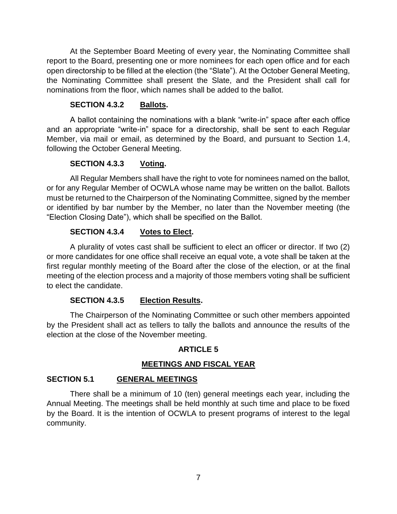At the September Board Meeting of every year, the Nominating Committee shall report to the Board, presenting one or more nominees for each open office and for each open directorship to be filled at the election (the "Slate"). At the October General Meeting, the Nominating Committee shall present the Slate, and the President shall call for nominations from the floor, which names shall be added to the ballot.

### **SECTION 4.3.2 Ballots.**

A ballot containing the nominations with a blank "write-in" space after each office and an appropriate "write-in" space for a directorship, shall be sent to each Regular Member, via mail or email, as determined by the Board, and pursuant to Section 1.4, following the October General Meeting.

## **SECTION 4.3.3 Voting.**

All Regular Members shall have the right to vote for nominees named on the ballot, or for any Regular Member of OCWLA whose name may be written on the ballot. Ballots must be returned to the Chairperson of the Nominating Committee, signed by the member or identified by bar number by the Member, no later than the November meeting (the "Election Closing Date"), which shall be specified on the Ballot.

### **SECTION 4.3.4 Votes to Elect.**

A plurality of votes cast shall be sufficient to elect an officer or director. If two (2) or more candidates for one office shall receive an equal vote, a vote shall be taken at the first regular monthly meeting of the Board after the close of the election, or at the final meeting of the election process and a majority of those members voting shall be sufficient to elect the candidate.

#### **SECTION 4.3.5 Election Results.**

The Chairperson of the Nominating Committee or such other members appointed by the President shall act as tellers to tally the ballots and announce the results of the election at the close of the November meeting.

#### **ARTICLE 5**

## **MEETINGS AND FISCAL YEAR**

#### **SECTION 5.1 GENERAL MEETINGS**

There shall be a minimum of 10 (ten) general meetings each year, including the Annual Meeting. The meetings shall be held monthly at such time and place to be fixed by the Board. It is the intention of OCWLA to present programs of interest to the legal community.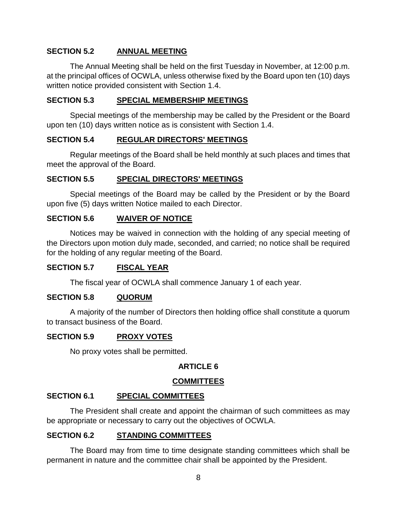## **SECTION 5.2 ANNUAL MEETING**

The Annual Meeting shall be held on the first Tuesday in November, at 12:00 p.m. at the principal offices of OCWLA, unless otherwise fixed by the Board upon ten (10) days written notice provided consistent with Section 1.4.

### **SECTION 5.3 SPECIAL MEMBERSHIP MEETINGS**

Special meetings of the membership may be called by the President or the Board upon ten (10) days written notice as is consistent with Section 1.4.

#### **SECTION 5.4 REGULAR DIRECTORS' MEETINGS**

Regular meetings of the Board shall be held monthly at such places and times that meet the approval of the Board.

### **SECTION 5.5 SPECIAL DIRECTORS' MEETINGS**

Special meetings of the Board may be called by the President or by the Board upon five (5) days written Notice mailed to each Director.

## **SECTION 5.6 WAIVER OF NOTICE**

Notices may be waived in connection with the holding of any special meeting of the Directors upon motion duly made, seconded, and carried; no notice shall be required for the holding of any regular meeting of the Board.

## **SECTION 5.7 FISCAL YEAR**

The fiscal year of OCWLA shall commence January 1 of each year.

#### **SECTION 5.8 QUORUM**

A majority of the number of Directors then holding office shall constitute a quorum to transact business of the Board.

#### **SECTION 5.9 PROXY VOTES**

No proxy votes shall be permitted.

## **ARTICLE 6**

## **COMMITTEES**

## **SECTION 6.1 SPECIAL COMMITTEES**

The President shall create and appoint the chairman of such committees as may be appropriate or necessary to carry out the objectives of OCWLA.

## **SECTION 6.2 STANDING COMMITTEES**

The Board may from time to time designate standing committees which shall be permanent in nature and the committee chair shall be appointed by the President.